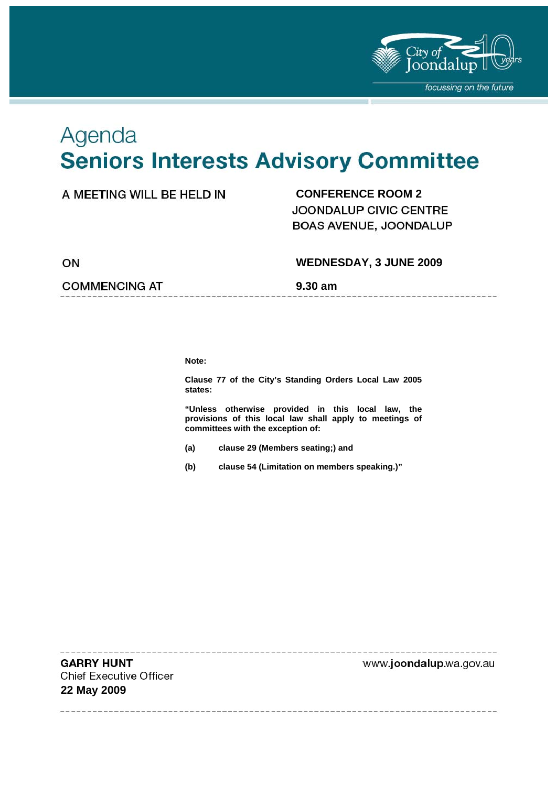

# Agenda **Seniors Interests Advisory Committee**

### A MEETING WILL BE HELD IN **CONFERENCE ROOM 2**

JOONDALUP CIVIC CENTRE BOAS AVENUE, JOONDALUP

ON

#### **WEDNESDAY, 3 JUNE 2009**

**COMMENCING AT 5.30 am** 

**Note:** 

**Clause 77 of the City's Standing Orders Local Law 2005 states:** 

**"Unless otherwise provided in this local law, the provisions of this local law shall apply to meetings of committees with the exception of:** 

- **(a) clause 29 (Members seating;) and**
- **(b) clause 54 (Limitation on members speaking.)"**

**GARRY HUNT Chief Executive Officer 22 May 2009** 

www.joondalup.wa.gov.au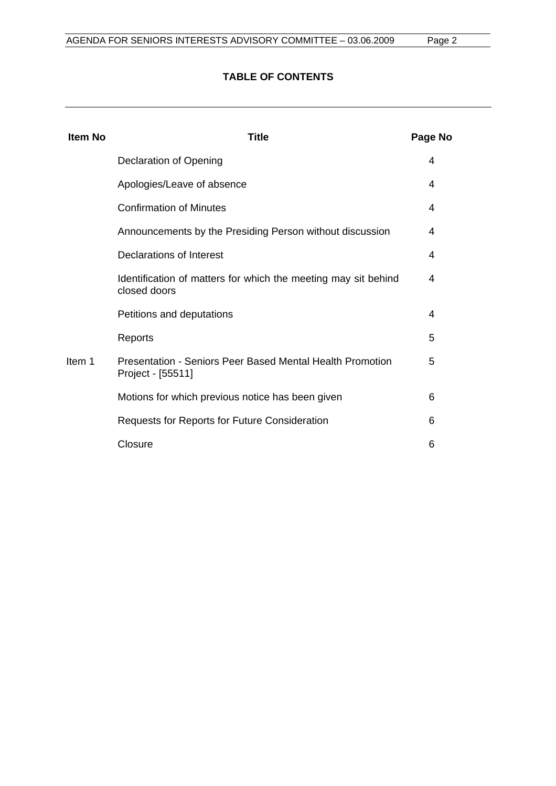#### **TABLE OF CONTENTS**

| <b>Item No</b> | Title                                                                                 | Page No |
|----------------|---------------------------------------------------------------------------------------|---------|
|                | Declaration of Opening                                                                | 4       |
|                | Apologies/Leave of absence                                                            | 4       |
|                | <b>Confirmation of Minutes</b>                                                        | 4       |
|                | Announcements by the Presiding Person without discussion                              | 4       |
|                | Declarations of Interest                                                              | 4       |
|                | Identification of matters for which the meeting may sit behind<br>closed doors        | 4       |
|                | Petitions and deputations                                                             | 4       |
|                | Reports                                                                               | 5       |
| Item 1         | <b>Presentation - Seniors Peer Based Mental Health Promotion</b><br>Project - [55511] | 5       |
|                | Motions for which previous notice has been given                                      | 6       |
|                | Requests for Reports for Future Consideration                                         | 6       |
|                | Closure                                                                               | 6       |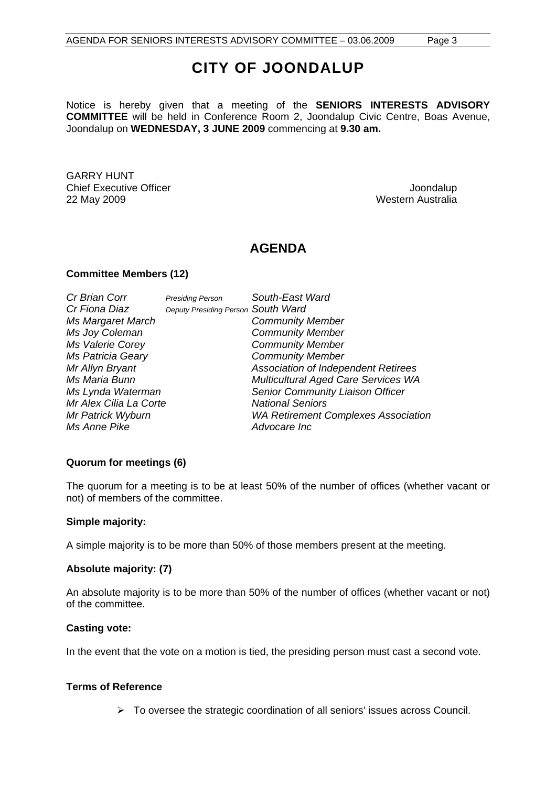# **CITY OF JOONDALUP**

Notice is hereby given that a meeting of the **SENIORS INTERESTS ADVISORY COMMITTEE** will be held in Conference Room 2, Joondalup Civic Centre, Boas Avenue, Joondalup on **WEDNESDAY, 3 JUNE 2009** commencing at **9.30 am.** 

GARRY HUNT Chief Executive Officer  $\Box$  Joondalup Joondalup 22 May 2009 Western Australia

# **AGENDA**

#### **Committee Members (12)**

| Cr Brian Corr          | <b>Presiding Person</b>            | South-East Ward                            |
|------------------------|------------------------------------|--------------------------------------------|
| Cr Fiona Diaz          | Deputy Presiding Person South Ward |                                            |
| Ms Margaret March      |                                    | <b>Community Member</b>                    |
| Ms Joy Coleman         |                                    | <b>Community Member</b>                    |
| Ms Valerie Corey       |                                    | <b>Community Member</b>                    |
| Ms Patricia Geary      |                                    | <b>Community Member</b>                    |
| Mr Allyn Bryant        |                                    | Association of Independent Retirees        |
| Ms Maria Bunn          |                                    | Multicultural Aged Care Services WA        |
| Ms Lynda Waterman      |                                    | Senior Community Liaison Officer           |
| Mr Alex Cilia La Corte |                                    | <b>National Seniors</b>                    |
| Mr Patrick Wyburn      |                                    | <b>WA Retirement Complexes Association</b> |
| Ms Anne Pike           |                                    | Advocare Inc                               |

#### **Quorum for meetings (6)**

The quorum for a meeting is to be at least 50% of the number of offices (whether vacant or not) of members of the committee.

#### **Simple majority:**

A simple majority is to be more than 50% of those members present at the meeting.

#### **Absolute majority: (7)**

An absolute majority is to be more than 50% of the number of offices (whether vacant or not) of the committee.

#### **Casting vote:**

In the event that the vote on a motion is tied, the presiding person must cast a second vote.

#### **Terms of Reference**

 $\triangleright$  To oversee the strategic coordination of all seniors' issues across Council.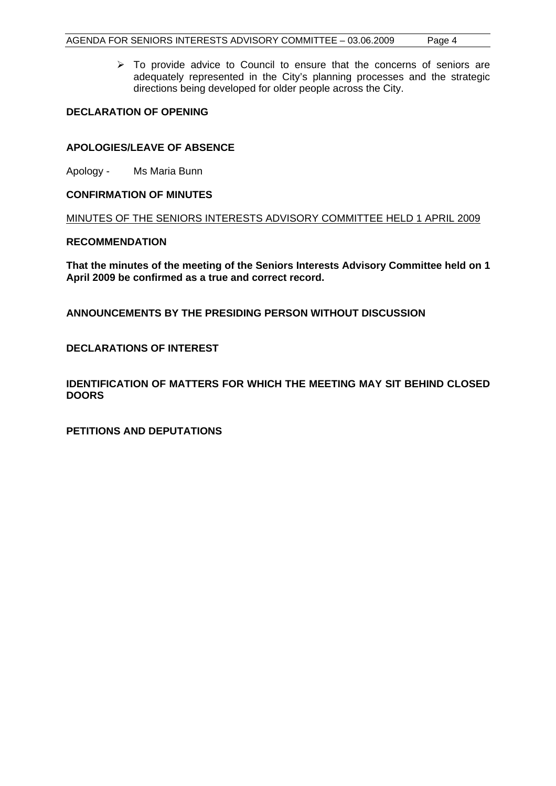$\triangleright$  To provide advice to Council to ensure that the concerns of seniors are adequately represented in the City's planning processes and the strategic directions being developed for older people across the City.

#### **DECLARATION OF OPENING**

#### **APOLOGIES/LEAVE OF ABSENCE**

Apology - Ms Maria Bunn

#### **CONFIRMATION OF MINUTES**

MINUTES OF THE SENIORS INTERESTS ADVISORY COMMITTEE HELD 1 APRIL 2009

#### **RECOMMENDATION**

**That the minutes of the meeting of the Seniors Interests Advisory Committee held on 1 April 2009 be confirmed as a true and correct record.** 

**ANNOUNCEMENTS BY THE PRESIDING PERSON WITHOUT DISCUSSION** 

**DECLARATIONS OF INTEREST** 

**IDENTIFICATION OF MATTERS FOR WHICH THE MEETING MAY SIT BEHIND CLOSED DOORS** 

**PETITIONS AND DEPUTATIONS**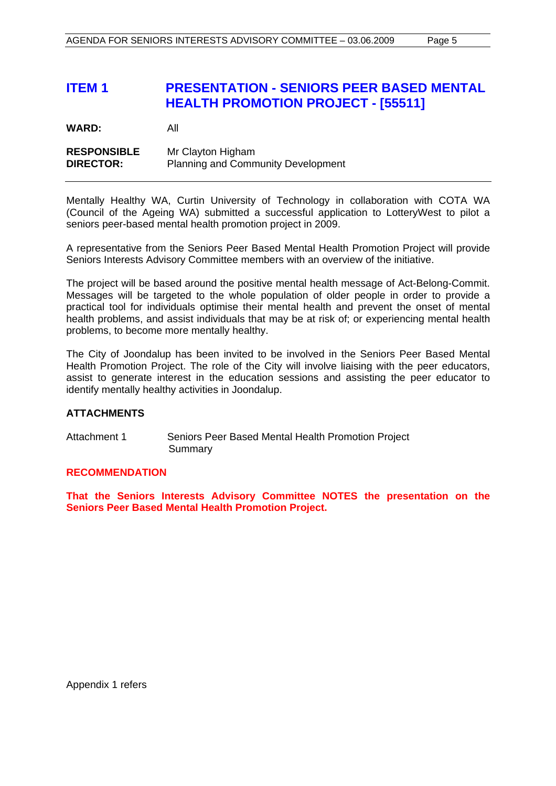## **ITEM 1 PRESENTATION - SENIORS PEER BASED MENTAL HEALTH PROMOTION PROJECT - [55511]**

**WARD:** All

**RESPONSIBLE** Mr Clayton Higham **DIRECTOR:** Planning and Community Development

Mentally Healthy WA, Curtin University of Technology in collaboration with COTA WA (Council of the Ageing WA) submitted a successful application to LotteryWest to pilot a seniors peer-based mental health promotion project in 2009.

A representative from the Seniors Peer Based Mental Health Promotion Project will provide Seniors Interests Advisory Committee members with an overview of the initiative.

The project will be based around the positive mental health message of Act-Belong-Commit. Messages will be targeted to the whole population of older people in order to provide a practical tool for individuals optimise their mental health and prevent the onset of mental health problems, and assist individuals that may be at risk of; or experiencing mental health problems, to become more mentally healthy.

The City of Joondalup has been invited to be involved in the Seniors Peer Based Mental Health Promotion Project. The role of the City will involve liaising with the peer educators, assist to generate interest in the education sessions and assisting the peer educator to identify mentally healthy activities in Joondalup.

#### **ATTACHMENTS**

Attachment 1 Seniors Peer Based Mental Health Promotion Project Summary

#### **RECOMMENDATION**

**That the Seniors Interests Advisory Committee NOTES the presentation on the Seniors Peer Based Mental Health Promotion Project.** 

Appendix 1 refers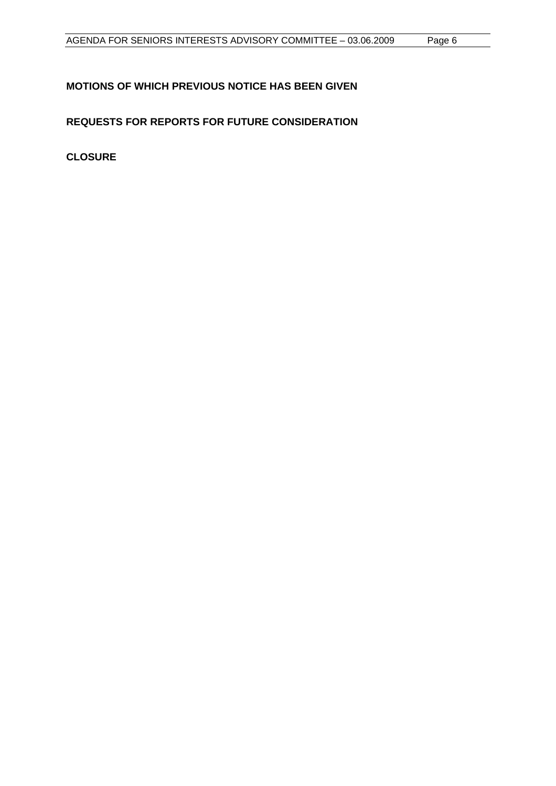### **MOTIONS OF WHICH PREVIOUS NOTICE HAS BEEN GIVEN**

**REQUESTS FOR REPORTS FOR FUTURE CONSIDERATION** 

**CLOSURE**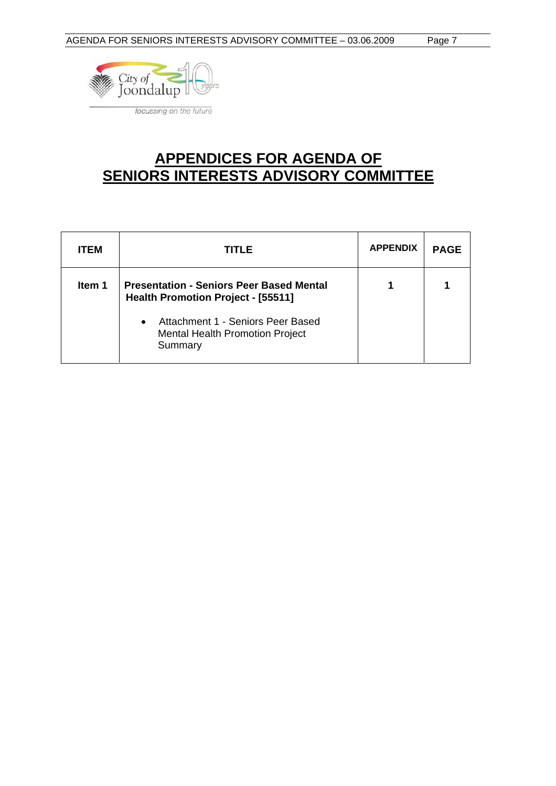

# **APPENDICES FOR AGENDA OF SENIORS INTERESTS ADVISORY COMMITTEE**

| <b>ITEM</b> | TITLE                                                                                               | <b>APPENDIX</b> | <b>PAGE</b> |
|-------------|-----------------------------------------------------------------------------------------------------|-----------------|-------------|
| Item 1      | <b>Presentation - Seniors Peer Based Mental</b><br>Health Promotion Project - [55511]               |                 |             |
|             | Attachment 1 - Seniors Peer Based<br>$\bullet$<br><b>Mental Health Promotion Project</b><br>Summary |                 |             |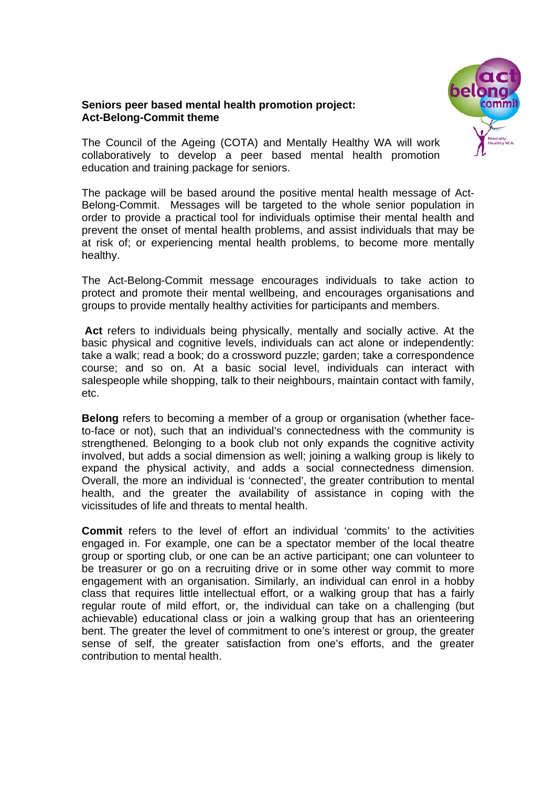#### **Seniors peer based mental health promotion project: Act-Belong-Commit theme**



The Council of the Ageing (COTA) and Mentally Healthy WA will work collaboratively to develop a peer based mental health promotion education and training package for seniors.

The package will be based around the positive mental health message of Act-Belong-Commit. Messages will be targeted to the whole senior population in order to provide a practical tool for individuals optimise their mental health and prevent the onset of mental health problems, and assist individuals that may be at risk of; or experiencing mental health problems, to become more mentally healthy.

The Act-Belong-Commit message encourages individuals to take action to protect and promote their mental wellbeing, and encourages organisations and groups to provide mentally healthy activities for participants and members.

**Act** refers to individuals being physically, mentally and socially active. At the basic physical and cognitive levels, individuals can act alone or independently: take a walk; read a book; do a crossword puzzle; garden; take a correspondence course; and so on. At a basic social level, individuals can interact with salespeople while shopping, talk to their neighbours, maintain contact with family, etc.

**Belong** refers to becoming a member of a group or organisation (whether faceto-face or not), such that an individual's connectedness with the community is strengthened. Belonging to a book club not only expands the cognitive activity involved, but adds a social dimension as well; joining a walking group is likely to expand the physical activity, and adds a social connectedness dimension. Overall, the more an individual is 'connected', the greater contribution to mental health, and the greater the availability of assistance in coping with the vicissitudes of life and threats to mental health.

**Commit** refers to the level of effort an individual 'commits' to the activities engaged in. For example, one can be a spectator member of the local theatre group or sporting club, or one can be an active participant; one can volunteer to be treasurer or go on a recruiting drive or in some other way commit to more engagement with an organisation. Similarly, an individual can enrol in a hobby class that requires little intellectual effort, or a walking group that has a fairly regular route of mild effort, or, the individual can take on a challenging (but achievable) educational class or join a walking group that has an orienteering bent. The greater the level of commitment to one's interest or group, the greater sense of self, the greater satisfaction from one's efforts, and the greater contribution to mental health.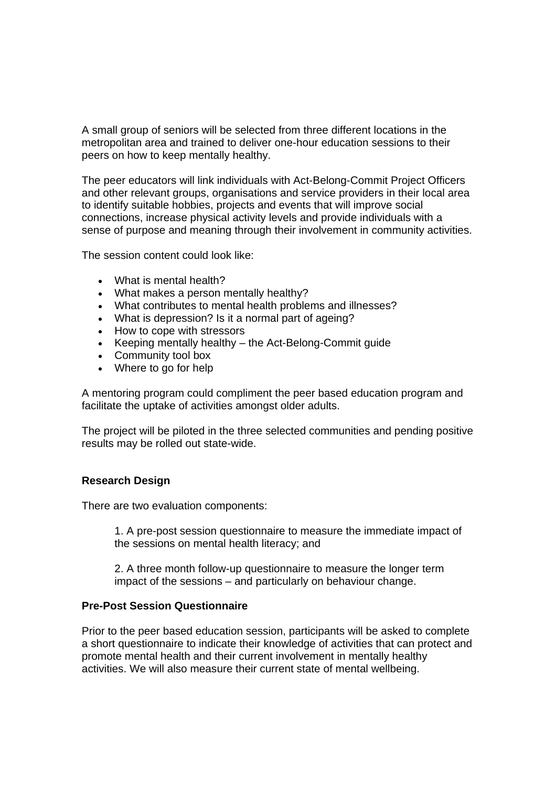A small group of seniors will be selected from three different locations in the metropolitan area and trained to deliver one-hour education sessions to their peers on how to keep mentally healthy.

The peer educators will link individuals with Act-Belong-Commit Project Officers and other relevant groups, organisations and service providers in their local area to identify suitable hobbies, projects and events that will improve social connections, increase physical activity levels and provide individuals with a sense of purpose and meaning through their involvement in community activities.

The session content could look like:

- What is mental health?
- What makes a person mentally healthy?
- What contributes to mental health problems and illnesses?
- What is depression? Is it a normal part of ageing?
- How to cope with stressors
- Keeping mentally healthy the Act-Belong-Commit guide
- Community tool box
- Where to go for help

A mentoring program could compliment the peer based education program and facilitate the uptake of activities amongst older adults.

The project will be piloted in the three selected communities and pending positive results may be rolled out state-wide.

#### **Research Design**

There are two evaluation components:

1. A pre-post session questionnaire to measure the immediate impact of the sessions on mental health literacy; and

2. A three month follow-up questionnaire to measure the longer term impact of the sessions – and particularly on behaviour change.

#### **Pre-Post Session Questionnaire**

Prior to the peer based education session, participants will be asked to complete a short questionnaire to indicate their knowledge of activities that can protect and promote mental health and their current involvement in mentally healthy activities. We will also measure their current state of mental wellbeing.